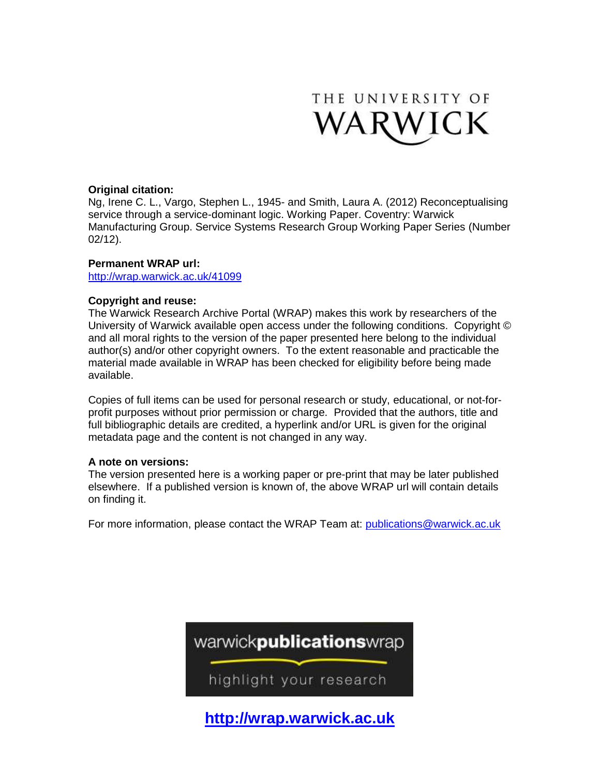

#### **Original citation:**

Ng, Irene C. L., Vargo, Stephen L., 1945- and Smith, Laura A. (2012) Reconceptualising service through a service-dominant logic. Working Paper. Coventry: Warwick Manufacturing Group. Service Systems Research Group Working Paper Series (Number 02/12).

#### **Permanent WRAP url:**

<http://wrap.warwick.ac.uk/41099>

### **Copyright and reuse:**

The Warwick Research Archive Portal (WRAP) makes this work by researchers of the University of Warwick available open access under the following conditions. Copyright © and all moral rights to the version of the paper presented here belong to the individual author(s) and/or other copyright owners. To the extent reasonable and practicable the material made available in WRAP has been checked for eligibility before being made available.

Copies of full items can be used for personal research or study, educational, or not-forprofit purposes without prior permission or charge. Provided that the authors, title and full bibliographic details are credited, a hyperlink and/or URL is given for the original metadata page and the content is not changed in any way.

#### **A note on versions:**

The version presented here is a working paper or pre-print that may be later published elsewhere. If a published version is known of, the above WRAP url will contain details on finding it.

For more information, please contact the WRAP Team at: [publications@warwick.ac.uk](mailto:publications@warwick.ac.uk)



**[http://wrap.warwick.ac.uk](http://wrap.warwick.ac.uk/)**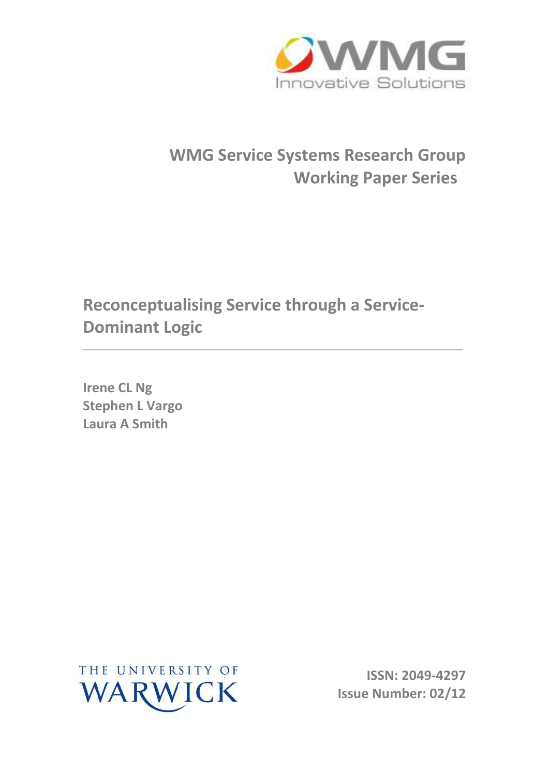

# **WMG Service Systems Research Group Working Paper Series**

**Reconceptualising Service through a Service-Dominant Logic** 

\_\_\_\_\_\_\_\_\_\_\_\_\_\_\_\_\_\_\_\_\_\_\_\_\_\_\_\_\_\_\_\_\_\_\_\_\_\_\_\_\_\_\_\_\_\_\_\_\_\_\_\_\_\_\_\_\_\_\_\_\_\_\_\_\_\_\_\_\_

**Irene CL Ng Stephen L Vargo Laura A Smith** 



**ISSN: 2049-4297 Issue Number: 02/12**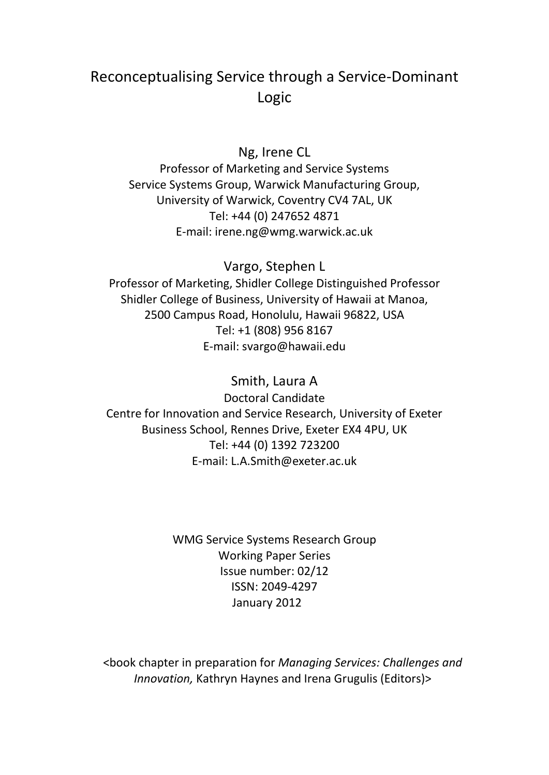# Reconceptualising Service through a Service-Dominant Logic

# Ng, Irene CL

Professor of Marketing and Service Systems Service Systems Group, Warwick Manufacturing Group, University of Warwick, Coventry CV4 7AL, UK Tel: +44 (0) 247652 4871 E-mail: irene.ng@wmg.warwick.ac.uk

Vargo, Stephen L Professor of Marketing, Shidler College Distinguished Professor Shidler College of Business, University of Hawaii at Manoa, 2500 Campus Road, Honolulu, Hawaii 96822, USA Tel: +1 (808) 956 8167 E-mail: svargo@hawaii.edu

Smith, Laura A Doctoral Candidate Centre for Innovation and Service Research, University of Exeter Business School, Rennes Drive, Exeter EX4 4PU, UK Tel: +44 (0) 1392 723200 E-mail: L.A.Smith@exeter.ac.uk

> WMG Service Systems Research Group Working Paper Series Issue number: 02/12 ISSN: 2049-4297 January 2012

<book chapter in preparation for *Managing Services: Challenges and Innovation,* Kathryn Haynes and Irena Grugulis (Editors)>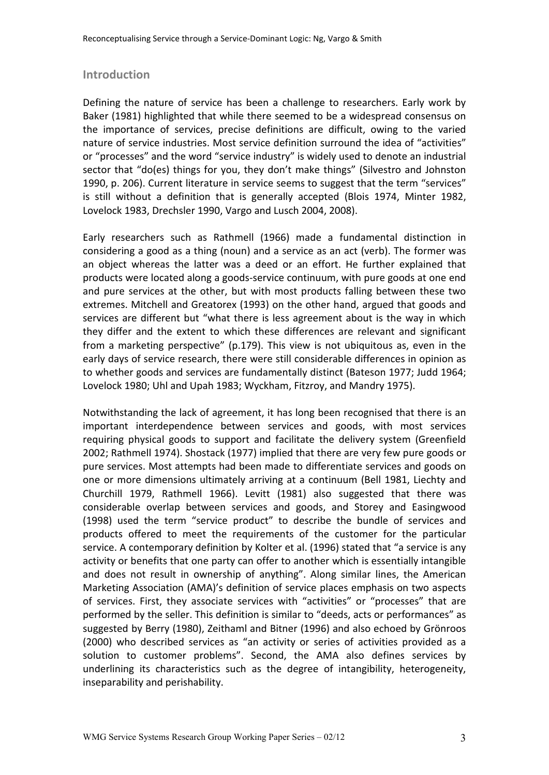# **Introduction**

Defining the nature of service has been a challenge to researchers. Early work by Baker (1981) highlighted that while there seemed to be a widespread consensus on the importance of services, precise definitions are difficult, owing to the varied nature of service industries. Most service definition surround the idea of "activities" or "processes" and the word "service industry" is widely used to denote an industrial sector that "do(es) things for you, they don't make things" (Silvestro and Johnston 1990, p. 206). Current literature in service seems to suggest that the term "services" is still without a definition that is generally accepted (Blois 1974, Minter 1982, Lovelock 1983, Drechsler 1990, Vargo and Lusch 2004, 2008).

Early researchers such as Rathmell (1966) made a fundamental distinction in considering a good as a thing (noun) and a service as an act (verb). The former was an object whereas the latter was a deed or an effort. He further explained that products were located along a goods-service continuum, with pure goods at one end and pure services at the other, but with most products falling between these two extremes. Mitchell and Greatorex (1993) on the other hand, argued that goods and services are different but "what there is less agreement about is the way in which they differ and the extent to which these differences are relevant and significant from a marketing perspective" (p.179). This view is not ubiquitous as, even in the early days of service research, there were still considerable differences in opinion as to whether goods and services are fundamentally distinct (Bateson 1977; Judd 1964; Lovelock 1980; Uhl and Upah 1983; Wyckham, Fitzroy, and Mandry 1975).

Notwithstanding the lack of agreement, it has long been recognised that there is an important interdependence between services and goods, with most services requiring physical goods to support and facilitate the delivery system (Greenfield 2002; Rathmell 1974). Shostack (1977) implied that there are very few pure goods or pure services. Most attempts had been made to differentiate services and goods on one or more dimensions ultimately arriving at a continuum (Bell 1981, Liechty and Churchill 1979, Rathmell 1966). Levitt (1981) also suggested that there was considerable overlap between services and goods, and Storey and Easingwood (1998) used the term "service product" to describe the bundle of services and products offered to meet the requirements of the customer for the particular service. A contemporary definition by Kolter et al. (1996) stated that "a service is any activity or benefits that one party can offer to another which is essentially intangible and does not result in ownership of anything". Along similar lines, the American Marketing Association (AMA)'s definition of service places emphasis on two aspects of services. First, they associate services with "activities" or "processes" that are performed by the seller. This definition is similar to "deeds, acts or performances" as suggested by Berry (1980), Zeithaml and Bitner (1996) and also echoed by Grönroos (2000) who described services as "an activity or series of activities provided as a solution to customer problems". Second, the AMA also defines services by underlining its characteristics such as the degree of intangibility, heterogeneity, inseparability and perishability.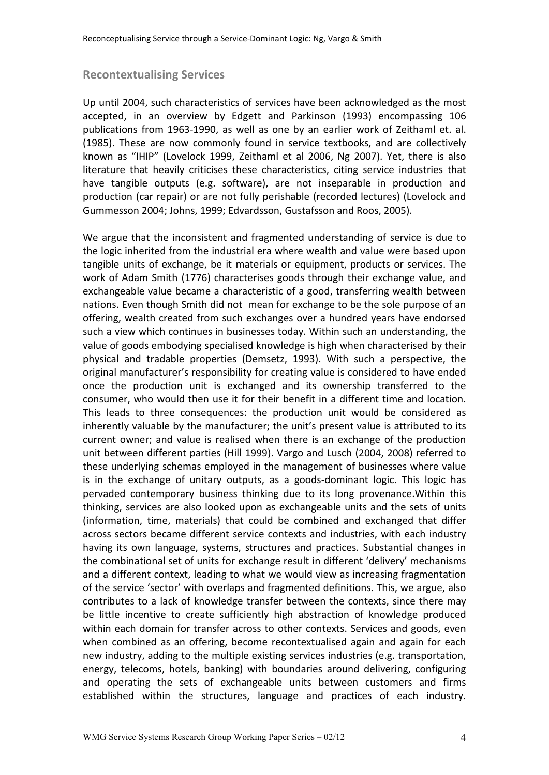### **Recontextualising Services**

Up until 2004, such characteristics of services have been acknowledged as the most accepted, in an overview by Edgett and Parkinson (1993) encompassing 106 publications from 1963-1990, as well as one by an earlier work of Zeithaml et. al. (1985). These are now commonly found in service textbooks, and are collectively known as "IHIP" (Lovelock 1999, Zeithaml et al 2006, Ng 2007). Yet, there is also literature that heavily criticises these characteristics, citing service industries that have tangible outputs (e.g. software), are not inseparable in production and production (car repair) or are not fully perishable (recorded lectures) (Lovelock and Gummesson 2004; Johns, 1999; Edvardsson, Gustafsson and Roos, 2005).

We argue that the inconsistent and fragmented understanding of service is due to the logic inherited from the industrial era where wealth and value were based upon tangible units of exchange, be it materials or equipment, products or services. The work of Adam Smith (1776) characterises goods through their exchange value, and exchangeable value became a characteristic of a good, transferring wealth between nations. Even though Smith did not mean for exchange to be the sole purpose of an offering, wealth created from such exchanges over a hundred years have endorsed such a view which continues in businesses today. Within such an understanding, the value of goods embodying specialised knowledge is high when characterised by their physical and tradable properties (Demsetz, 1993). With such a perspective, the original manufacturer's responsibility for creating value is considered to have ended once the production unit is exchanged and its ownership transferred to the consumer, who would then use it for their benefit in a different time and location. This leads to three consequences: the production unit would be considered as inherently valuable by the manufacturer; the unit's present value is attributed to its current owner; and value is realised when there is an exchange of the production unit between different parties (Hill 1999). Vargo and Lusch (2004, 2008) referred to these underlying schemas employed in the management of businesses where value is in the exchange of unitary outputs, as a goods-dominant logic. This logic has pervaded contemporary business thinking due to its long provenance.Within this thinking, services are also looked upon as exchangeable units and the sets of units (information, time, materials) that could be combined and exchanged that differ across sectors became different service contexts and industries, with each industry having its own language, systems, structures and practices. Substantial changes in the combinational set of units for exchange result in different 'delivery' mechanisms and a different context, leading to what we would view as increasing fragmentation of the service 'sector' with overlaps and fragmented definitions. This, we argue, also contributes to a lack of knowledge transfer between the contexts, since there may be little incentive to create sufficiently high abstraction of knowledge produced within each domain for transfer across to other contexts. Services and goods, even when combined as an offering, become recontextualised again and again for each new industry, adding to the multiple existing services industries (e.g. transportation, energy, telecoms, hotels, banking) with boundaries around delivering, configuring and operating the sets of exchangeable units between customers and firms established within the structures, language and practices of each industry.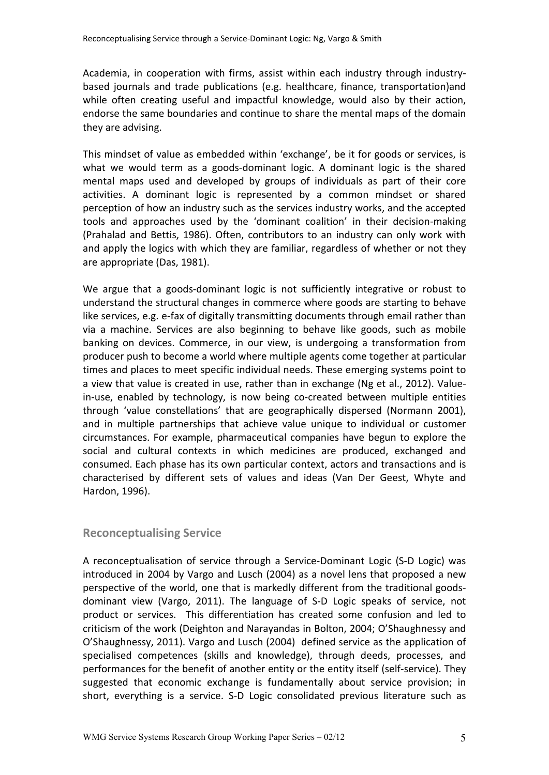Academia, in cooperation with firms, assist within each industry through industrybased journals and trade publications (e.g. healthcare, finance, transportation)and while often creating useful and impactful knowledge, would also by their action, endorse the same boundaries and continue to share the mental maps of the domain they are advising.

This mindset of value as embedded within 'exchange', be it for goods or services, is what we would term as a goods-dominant logic. A dominant logic is the shared mental maps used and developed by groups of individuals as part of their core activities. A dominant logic is represented by a common mindset or shared perception of how an industry such as the services industry works, and the accepted tools and approaches used by the 'dominant coalition' in their decision-making (Prahalad and Bettis, 1986). Often, contributors to an industry can only work with and apply the logics with which they are familiar, regardless of whether or not they are appropriate (Das, 1981).

We argue that a goods-dominant logic is not sufficiently integrative or robust to understand the structural changes in commerce where goods are starting to behave like services, e.g. e-fax of digitally transmitting documents through email rather than via a machine. Services are also beginning to behave like goods, such as mobile banking on devices. Commerce, in our view, is undergoing a transformation from producer push to become a world where multiple agents come together at particular times and places to meet specific individual needs. These emerging systems point to a view that value is created in use, rather than in exchange (Ng et al., 2012). Valuein-use, enabled by technology, is now being co-created between multiple entities through 'value constellations' that are geographically dispersed (Normann 2001), and in multiple partnerships that achieve value unique to individual or customer circumstances. For example, pharmaceutical companies have begun to explore the social and cultural contexts in which medicines are produced, exchanged and consumed. Each phase has its own particular context, actors and transactions and is characterised by different sets of values and ideas (Van Der Geest, Whyte and Hardon, 1996).

# **Reconceptualising Service**

A reconceptualisation of service through a Service-Dominant Logic (S-D Logic) was introduced in 2004 by Vargo and Lusch (2004) as a novel lens that proposed a new perspective of the world, one that is markedly different from the traditional goodsdominant view (Vargo, 2011). The language of S-D Logic speaks of service, not product or services. This differentiation has created some confusion and led to criticism of the work (Deighton and Narayandas in Bolton, 2004; O'Shaughnessy and O'Shaughnessy, 2011). Vargo and Lusch (2004) defined service as the application of specialised competences (skills and knowledge), through deeds, processes, and performances for the benefit of another entity or the entity itself (self-service). They suggested that economic exchange is fundamentally about service provision; in short, everything is a service. S-D Logic consolidated previous literature such as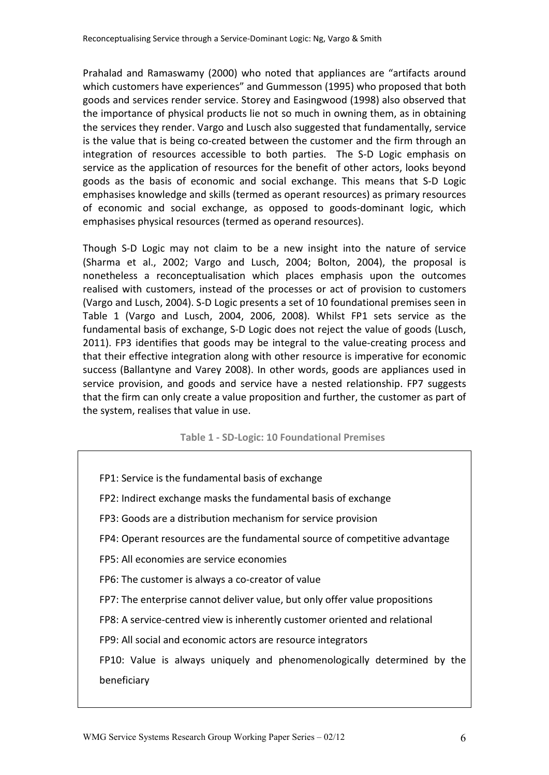Prahalad and Ramaswamy (2000) who noted that appliances are "artifacts around which customers have experiences" and Gummesson (1995) who proposed that both goods and services render service. Storey and Easingwood (1998) also observed that the importance of physical products lie not so much in owning them, as in obtaining the services they render. Vargo and Lusch also suggested that fundamentally, service is the value that is being co-created between the customer and the firm through an integration of resources accessible to both parties. The S-D Logic emphasis on service as the application of resources for the benefit of other actors, looks beyond goods as the basis of economic and social exchange. This means that S-D Logic emphasises knowledge and skills (termed as operant resources) as primary resources of economic and social exchange, as opposed to goods-dominant logic, which emphasises physical resources (termed as operand resources).

Though S-D Logic may not claim to be a new insight into the nature of service (Sharma et al., 2002; Vargo and Lusch, 2004; Bolton, 2004), the proposal is nonetheless a reconceptualisation which places emphasis upon the outcomes realised with customers, instead of the processes or act of provision to customers (Vargo and Lusch, 2004). S-D Logic presents a set of 10 foundational premises seen in Table 1 (Vargo and Lusch, 2004, 2006, 2008). Whilst FP1 sets service as the fundamental basis of exchange, S-D Logic does not reject the value of goods (Lusch, 2011). FP3 identifies that goods may be integral to the value-creating process and that their effective integration along with other resource is imperative for economic success (Ballantyne and Varey 2008). In other words, goods are appliances used in service provision, and goods and service have a nested relationship. FP7 suggests that the firm can only create a value proposition and further, the customer as part of the system, realises that value in use.

**Table 1 - SD-Logic: 10 Foundational Premises**

| FP1: Service is the fundamental basis of exchange                           |
|-----------------------------------------------------------------------------|
| FP2: Indirect exchange masks the fundamental basis of exchange              |
| FP3: Goods are a distribution mechanism for service provision               |
| FP4: Operant resources are the fundamental source of competitive advantage  |
| FP5: All economies are service economies                                    |
| FP6: The customer is always a co-creator of value                           |
| FP7: The enterprise cannot deliver value, but only offer value propositions |
| FP8: A service-centred view is inherently customer oriented and relational  |
| FP9: All social and economic actors are resource integrators                |
| FP10: Value is always uniquely and phenomenologically determined by the     |
| beneficiary                                                                 |
|                                                                             |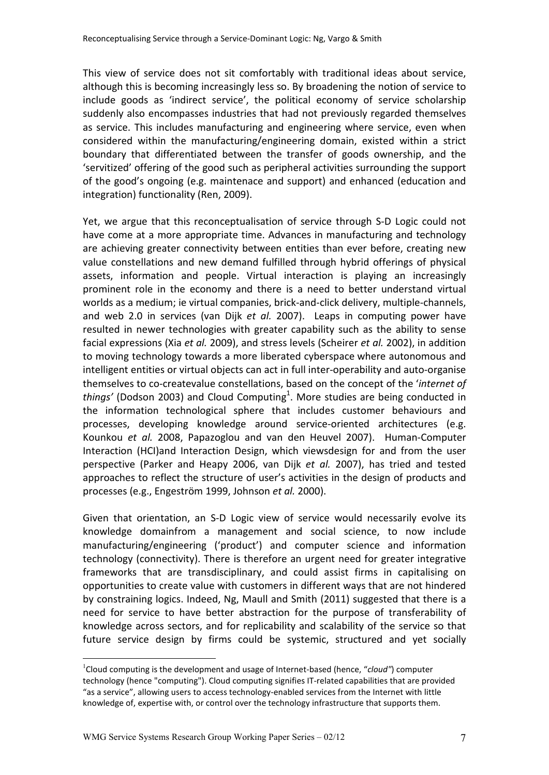This view of service does not sit comfortably with traditional ideas about service, although this is becoming increasingly less so. By broadening the notion of service to include goods as 'indirect service', the political economy of service scholarship suddenly also encompasses industries that had not previously regarded themselves as service. This includes manufacturing and engineering where service, even when considered within the manufacturing/engineering domain, existed within a strict boundary that differentiated between the transfer of goods ownership, and the 'servitized' offering of the good such as peripheral activities surrounding the support of the good's ongoing (e.g. maintenace and support) and enhanced (education and integration) functionality (Ren, 2009).

Yet, we argue that this reconceptualisation of service through S-D Logic could not have come at a more appropriate time. Advances in manufacturing and technology are achieving greater connectivity between entities than ever before, creating new value constellations and new demand fulfilled through hybrid offerings of physical assets, information and people. Virtual interaction is playing an increasingly prominent role in the economy and there is a need to better understand virtual worlds as a medium; ie virtual companies, brick-and-click delivery, multiple-channels, and web 2.0 in services (van Dijk *et al.* 2007). Leaps in computing power have resulted in newer technologies with greater capability such as the ability to sense facial expressions (Xia *et al.* 2009), and stress levels (Scheirer *et al.* 2002), in addition to moving technology towards a more liberated cyberspace where autonomous and intelligent entities or virtual objects can act in full inter-operability and auto-organise themselves to co-createvalue constellations, based on the concept of the '*internet of*  things' (Dodson 2003) and Cloud Computing<sup>1</sup>. More studies are being conducted in the information technological sphere that includes customer behaviours and processes, developing knowledge around service-oriented architectures (e.g. Kounkou *et al.* 2008, Papazoglou and van den Heuvel 2007). Human-Computer Interaction (HCI)and Interaction Design, which viewsdesign for and from the user perspective (Parker and Heapy 2006, van Dijk *et al.* 2007), has tried and tested approaches to reflect the structure of user's activities in the design of products and processes (e.g., Engeström 1999, Johnson *et al.* 2000).

Given that orientation, an S-D Logic view of service would necessarily evolve its knowledge domainfrom a management and social science, to now include manufacturing/engineering ('product') and computer science and information technology (connectivity). There is therefore an urgent need for greater integrative frameworks that are transdisciplinary, and could assist firms in capitalising on opportunities to create value with customers in different ways that are not hindered by constraining logics. Indeed, Ng, Maull and Smith (2011) suggested that there is a need for service to have better abstraction for the purpose of transferability of knowledge across sectors, and for replicability and scalability of the service so that future service design by firms could be systemic, structured and yet socially

 $\overline{a}$ 

<sup>&</sup>lt;sup>1</sup>Cloud computing is the development and usage of Internet-based (hence, "*cloud*") computer technology (hence "computing"). Cloud computing signifies IT-related capabilities that are provided "as a service", allowing users to access technology-enabled services from the Internet with little knowledge of, expertise with, or control over the technology infrastructure that supports them.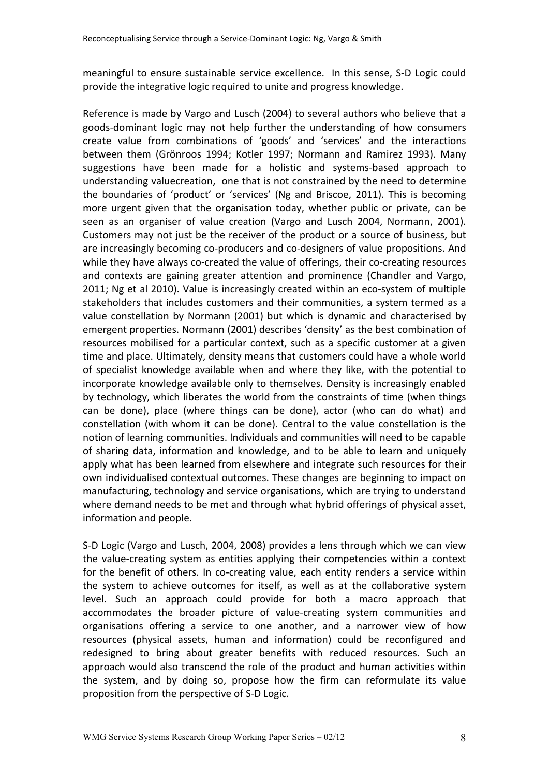meaningful to ensure sustainable service excellence. In this sense, S-D Logic could provide the integrative logic required to unite and progress knowledge.

Reference is made by Vargo and Lusch (2004) to several authors who believe that a goods-dominant logic may not help further the understanding of how consumers create value from combinations of 'goods' and 'services' and the interactions between them (Grönroos 1994; Kotler 1997; Normann and Ramirez 1993). Many suggestions have been made for a holistic and systems-based approach to understanding valuecreation, one that is not constrained by the need to determine the boundaries of 'product' or 'services' (Ng and Briscoe, 2011). This is becoming more urgent given that the organisation today, whether public or private, can be seen as an organiser of value creation (Vargo and Lusch 2004, Normann, 2001). Customers may not just be the receiver of the product or a source of business, but are increasingly becoming co-producers and co-designers of value propositions. And while they have always co-created the value of offerings, their co-creating resources and contexts are gaining greater attention and prominence (Chandler and Vargo, 2011; Ng et al 2010). Value is increasingly created within an eco-system of multiple stakeholders that includes customers and their communities, a system termed as a value constellation by Normann (2001) but which is dynamic and characterised by emergent properties. Normann (2001) describes 'density' as the best combination of resources mobilised for a particular context, such as a specific customer at a given time and place. Ultimately, density means that customers could have a whole world of specialist knowledge available when and where they like, with the potential to incorporate knowledge available only to themselves. Density is increasingly enabled by technology, which liberates the world from the constraints of time (when things can be done), place (where things can be done), actor (who can do what) and constellation (with whom it can be done). Central to the value constellation is the notion of learning communities. Individuals and communities will need to be capable of sharing data, information and knowledge, and to be able to learn and uniquely apply what has been learned from elsewhere and integrate such resources for their own individualised contextual outcomes. These changes are beginning to impact on manufacturing, technology and service organisations, which are trying to understand where demand needs to be met and through what hybrid offerings of physical asset, information and people.

S-D Logic (Vargo and Lusch, 2004, 2008) provides a lens through which we can view the value-creating system as entities applying their competencies within a context for the benefit of others. In co-creating value, each entity renders a service within the system to achieve outcomes for itself, as well as at the collaborative system level. Such an approach could provide for both a macro approach that accommodates the broader picture of value-creating system communities and organisations offering a service to one another, and a narrower view of how resources (physical assets, human and information) could be reconfigured and redesigned to bring about greater benefits with reduced resources. Such an approach would also transcend the role of the product and human activities within the system, and by doing so, propose how the firm can reformulate its value proposition from the perspective of S-D Logic.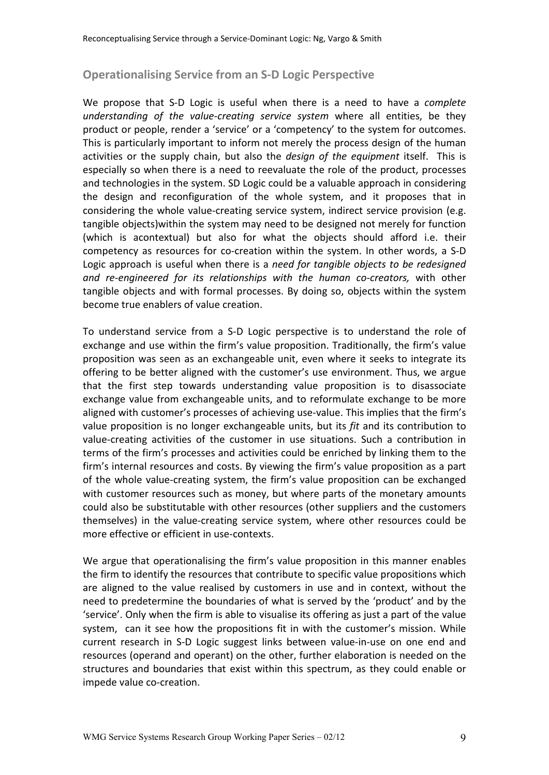# **Operationalising Service from an S-D Logic Perspective**

We propose that S-D Logic is useful when there is a need to have a *complete understanding of the value-creating service system* where all entities, be they product or people, render a 'service' or a 'competency' to the system for outcomes. This is particularly important to inform not merely the process design of the human activities or the supply chain, but also the *design of the equipment* itself. This is especially so when there is a need to reevaluate the role of the product, processes and technologies in the system. SD Logic could be a valuable approach in considering the design and reconfiguration of the whole system, and it proposes that in considering the whole value-creating service system, indirect service provision (e.g. tangible objects)within the system may need to be designed not merely for function (which is acontextual) but also for what the objects should afford i.e. their competency as resources for co-creation within the system. In other words, a S-D Logic approach is useful when there is a *need for tangible objects to be redesigned and re-engineered for its relationships with the human co-creators,* with other tangible objects and with formal processes. By doing so, objects within the system become true enablers of value creation.

To understand service from a S-D Logic perspective is to understand the role of exchange and use within the firm's value proposition. Traditionally, the firm's value proposition was seen as an exchangeable unit, even where it seeks to integrate its offering to be better aligned with the customer's use environment. Thus, we argue that the first step towards understanding value proposition is to disassociate exchange value from exchangeable units, and to reformulate exchange to be more aligned with customer's processes of achieving use-value. This implies that the firm's value proposition is no longer exchangeable units, but its *fit* and its contribution to value-creating activities of the customer in use situations. Such a contribution in terms of the firm's processes and activities could be enriched by linking them to the firm's internal resources and costs. By viewing the firm's value proposition as a part of the whole value-creating system, the firm's value proposition can be exchanged with customer resources such as money, but where parts of the monetary amounts could also be substitutable with other resources (other suppliers and the customers themselves) in the value-creating service system, where other resources could be more effective or efficient in use-contexts.

We argue that operationalising the firm's value proposition in this manner enables the firm to identify the resources that contribute to specific value propositions which are aligned to the value realised by customers in use and in context, without the need to predetermine the boundaries of what is served by the 'product' and by the 'service'. Only when the firm is able to visualise its offering as just a part of the value system, can it see how the propositions fit in with the customer's mission. While current research in S-D Logic suggest links between value-in-use on one end and resources (operand and operant) on the other, further elaboration is needed on the structures and boundaries that exist within this spectrum, as they could enable or impede value co-creation.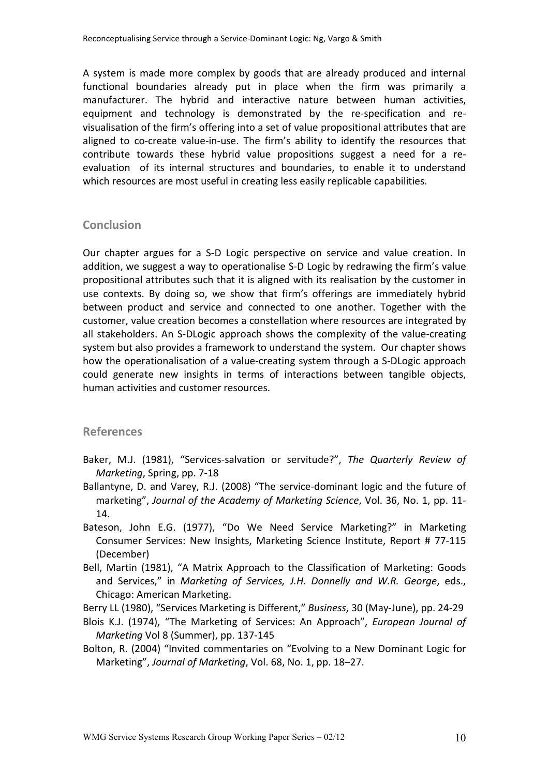A system is made more complex by goods that are already produced and internal functional boundaries already put in place when the firm was primarily a manufacturer. The hybrid and interactive nature between human activities, equipment and technology is demonstrated by the re-specification and revisualisation of the firm's offering into a set of value propositional attributes that are aligned to co-create value-in-use. The firm's ability to identify the resources that contribute towards these hybrid value propositions suggest a need for a reevaluation of its internal structures and boundaries, to enable it to understand which resources are most useful in creating less easily replicable capabilities.

### **Conclusion**

Our chapter argues for a S-D Logic perspective on service and value creation. In addition, we suggest a way to operationalise S-D Logic by redrawing the firm's value propositional attributes such that it is aligned with its realisation by the customer in use contexts. By doing so, we show that firm's offerings are immediately hybrid between product and service and connected to one another. Together with the customer, value creation becomes a constellation where resources are integrated by all stakeholders. An S-DLogic approach shows the complexity of the value-creating system but also provides a framework to understand the system. Our chapter shows how the operationalisation of a value-creating system through a S-DLogic approach could generate new insights in terms of interactions between tangible objects, human activities and customer resources.

# **References**

- Baker, M.J. (1981), "Services-salvation or servitude?", *The Quarterly Review of Marketing*, Spring, pp. 7-18
- Ballantyne, D. and Varey, R.J. (2008) "The service-dominant logic and the future of marketing", *Journal of the Academy of Marketing Science*, Vol. 36, No. 1, pp. 11- 14.
- Bateson, John E.G. (1977), "Do We Need Service Marketing?" in Marketing Consumer Services: New Insights, Marketing Science Institute, Report # 77-115 (December)
- Bell, Martin (1981), "A Matrix Approach to the Classification of Marketing: Goods and Services," in *Marketing of Services, J.H. Donnelly and W.R. George*, eds., Chicago: American Marketing.

Berry LL (1980), "Services Marketing is Different," *Business*, 30 (May-June), pp. 24-29

- Blois K.J. (1974), "The Marketing of Services: An Approach", *European Journal of Marketing* Vol 8 (Summer), pp. 137-145
- Bolton, R. (2004) "Invited commentaries on "Evolving to a New Dominant Logic for Marketing", *Journal of Marketing*, Vol. 68, No. 1, pp. 18–27.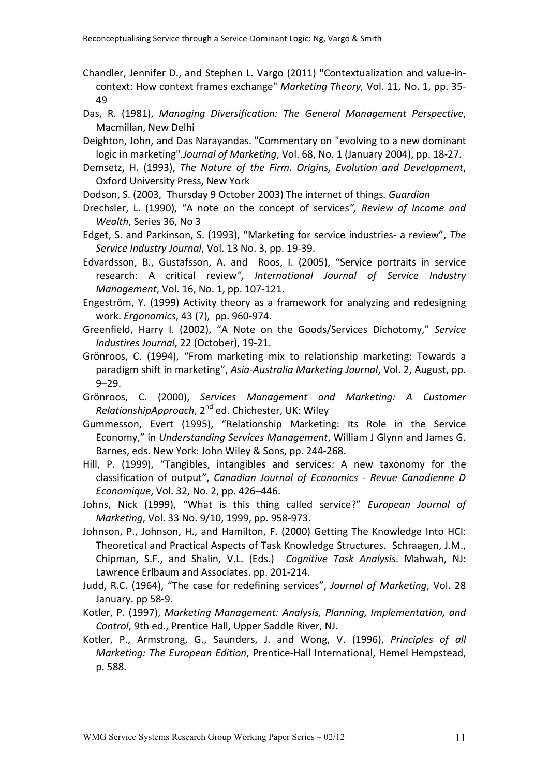- Chandler, Jennifer D., and Stephen L. Vargo (2011) "Contextualization and value-incontext: How context frames exchange" *Marketing Theory,* Vol. 11, No. 1, pp. 35- 49
- Das, R. (1981), *Managing Diversification: The General Management Perspective*, Macmillan, New Delhi
- Deighton, John, and Das Narayandas. "Commentary on "evolving to a new dominant logic in marketing".*Journal of Marketing*, Vol. 68, No. 1 (January 2004), pp. 18-27.
- Demsetz, H. (1993), *The Nature of the Firm. Origins, Evolution and Development*, Oxford University Press, New York
- Dodson, S. (2003, Thursday 9 October 2003) The internet of things*. Guardian*
- Drechsler, L. (1990), "A note on the concept of services*", Review of Income and Wealth*, Series 36, No 3
- Edget, S. and Parkinson, S. (1993), "Marketing for service industries- a review", *The Service Industry Journal*, Vol. 13 No. 3, pp. 19-39.
- Edvardsson, B., Gustafsson, A. and Roos, I. (2005), "Service portraits in service research: A critical review*", International Journal of Service Industry Management*, Vol. 16, No. 1, pp. 107-121.
- Engeström, Y. (1999) Activity theory as a framework for analyzing and redesigning work. *Ergonomics*, 43 (7), pp. 960-974.
- Greenfield, Harry I. (2002), "A Note on the Goods/Services Dichotomy," *Service Industires Journal*, 22 (October), 19-21.
- Grönroos, C. (1994), "From marketing mix to relationship marketing: Towards a paradigm shift in marketing", *Asia-Australia Marketing Journal*, Vol. 2, August, pp. 9–29.
- Grönroos, C. (2000), *Services Management and Marketing: A Customer RelationshipApproach*, 2nd ed. Chichester, UK: Wiley
- Gummesson, Evert (1995), "Relationship Marketing: Its Role in the Service Economy," in *Understanding Services Management*, William J Glynn and James G. Barnes, eds. New York: John Wiley & Sons, pp. 244-268.
- Hill, P. (1999), "Tangibles, intangibles and services: A new taxonomy for the classification of output", *Canadian Journal of Economics - Revue Canadienne D Economique*, Vol. 32, No. 2, pp. 426–446.
- Johns, Nick (1999), "What is this thing called service?" *European Journal of Marketing*, Vol. 33 No. 9/10, 1999, pp. 958-973.
- Johnson, P., Johnson, H., and Hamilton, F. (2000) Getting The Knowledge Into HCI: Theoretical and Practical Aspects of Task Knowledge Structures. Schraagen, J.M., Chipman, S.F., and Shalin, V.L. (Eds.) *Cognitive Task Analysis*. Mahwah, NJ: Lawrence Erlbaum and Associates. pp. 201-214.
- Judd, R.C. (1964), "The case for redefining services", *Journal of Marketing*, Vol. 28 January. pp 58-9.
- Kotler, P. (1997), *Marketing Management: Analysis, Planning, Implementation, and Control*, 9th ed., Prentice Hall, Upper Saddle River, NJ.
- Kotler, P., Armstrong, G., Saunders, J. and Wong, V. (1996), *Principles of all Marketing: The European Edition*, Prentice-Hall International, Hemel Hempstead, p. 588.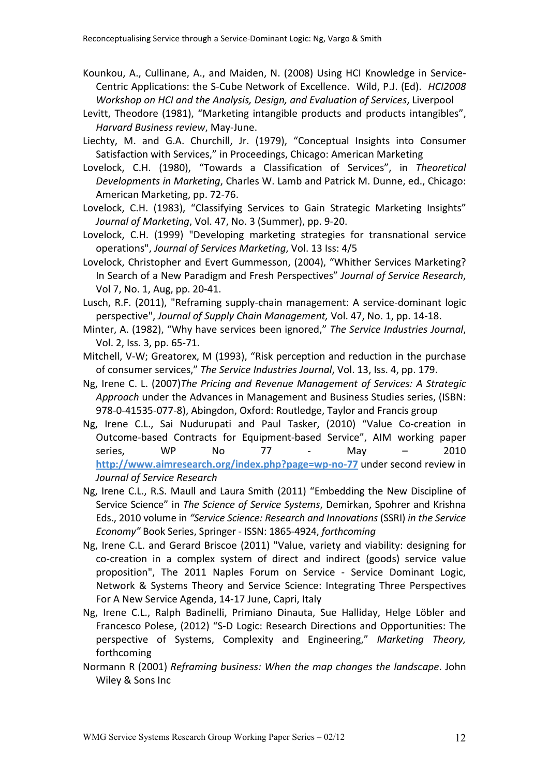- Kounkou, A., Cullinane, A., and Maiden, N. (2008) Using HCI Knowledge in Service-Centric Applications: the S-Cube Network of Excellence. Wild, P.J. (Ed). *HCI2008 Workshop on HCI and the Analysis, Design, and Evaluation of Services*, Liverpool
- Levitt, Theodore (1981), "Marketing intangible products and products intangibles", *Harvard Business review*, May-June.
- Liechty, M. and G.A. Churchill, Jr. (1979), "Conceptual Insights into Consumer Satisfaction with Services," in Proceedings, Chicago: American Marketing
- Lovelock, C.H. (1980), "Towards a Classification of Services", in *Theoretical Developments in Marketing*, Charles W. Lamb and Patrick M. Dunne, ed., Chicago: American Marketing, pp. 72-76.
- Lovelock, C.H. (1983), "Classifying Services to Gain Strategic Marketing Insights" *Journal of Marketing*, Vol. 47, No. 3 (Summer), pp. 9-20.
- Lovelock, C.H. (1999) "Developing marketing strategies for transnational service operations", *Journal of Services Marketing*, Vol. 13 Iss: 4/5
- Lovelock, Christopher and Evert Gummesson, (2004), "Whither Services Marketing? In Search of a New Paradigm and Fresh Perspectives" *Journal of Service Research*, Vol 7, No. 1, Aug, pp. 20-41.
- Lusch, R.F. (2011), "Reframing supply-chain management: A service-dominant logic perspective", *Journal of Supply Chain Management,* Vol. 47, No. 1, pp. 14-18.
- Minter, A. (1982), "Why have services been ignored," *The Service Industries Journal*, Vol. 2, Iss. 3, pp. 65-71.
- Mitchell, V-W; Greatorex, M (1993), "Risk perception and reduction in the purchase of consumer services," *The Service Industries Journal*, Vol. 13, Iss. 4, pp. 179.
- Ng, Irene C. L. (2007)*The Pricing and Revenue Management of Services: A Strategic Approach* under the Advances in Management and Business Studies series, (ISBN: 978-0-41535-077-8), Abingdon, Oxford: Routledge, Taylor and Francis group
- Ng, Irene C.L., Sai Nudurupati and Paul Tasker, (2010) "Value Co-creation in Outcome-based Contracts for Equipment-based Service", AIM working paper series, WP No 77 - May – 2010 **http://www.aimresearch.org/index.php?page=wp-no-77** under second review in *Journal of Service Research*
- Ng, Irene C.L., R.S. Maull and Laura Smith (2011) "Embedding the New Discipline of Service Science" in *The Science of Service Systems*, Demirkan, Spohrer and Krishna Eds., 2010 volume in *"Service Science: Research and Innovations* (SSRI) *in the Service Economy"* Book Series, Springer - ISSN: 1865-4924, *forthcoming*
- Ng, Irene C.L. and Gerard Briscoe (2011) "Value, variety and viability: designing for co-creation in a complex system of direct and indirect (goods) service value proposition", The 2011 Naples Forum on Service - Service Dominant Logic, Network & Systems Theory and Service Science: Integrating Three Perspectives For A New Service Agenda, 14-17 June, Capri, Italy
- Ng, Irene C.L., Ralph Badinelli, Primiano Dinauta, Sue Halliday, Helge Löbler and Francesco Polese, (2012) "S-D Logic: Research Directions and Opportunities: The perspective of Systems, Complexity and Engineering," *Marketing Theory,*  forthcoming
- Normann R (2001) *Reframing business: When the map changes the landscape*. John Wiley & Sons Inc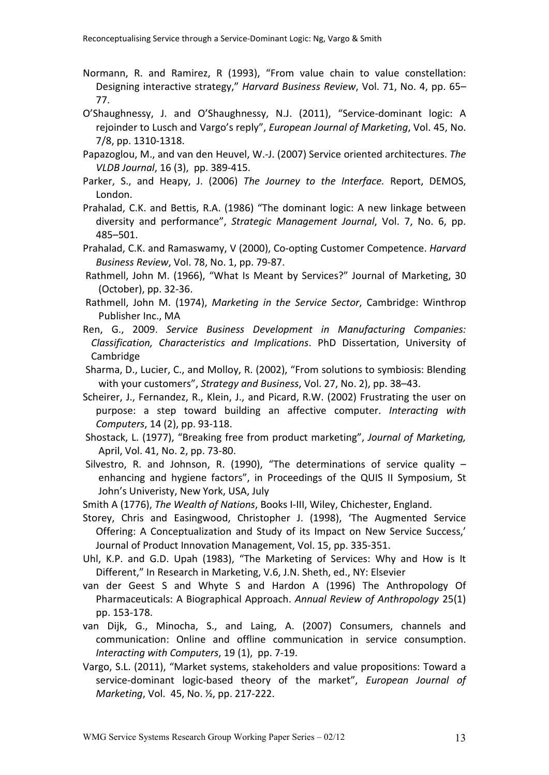- Normann, R. and Ramirez, R (1993), "From value chain to value constellation: Designing interactive strategy," *Harvard Business Review*, Vol. 71, No. 4, pp. 65– 77.
- O'Shaughnessy, J. and O'Shaughnessy, N.J. (2011), "Service-dominant logic: A rejoinder to Lusch and Vargo's reply", *European Journal of Marketing*, Vol. 45, No. 7/8, pp. 1310-1318.
- Papazoglou, M., and van den Heuvel, W.-J. (2007) Service oriented architectures. *The VLDB Journal*, 16 (3), pp. 389-415.
- Parker, S., and Heapy, J. (2006) *The Journey to the Interface.* Report, DEMOS, London.
- Prahalad, C.K. and Bettis, R.A. (1986) "The dominant logic: A new linkage between diversity and performance", *Strategic Management Journal*, Vol. 7, No. 6, pp. 485–501.
- Prahalad, C.K. and Ramaswamy, V (2000), Co-opting Customer Competence. *Harvard Business Review*, Vol. 78, No. 1, pp. 79-87.
- Rathmell, John M. (1966), "What Is Meant by Services?" Journal of Marketing, 30 (October), pp. 32-36.
- Rathmell, John M. (1974), *Marketing in the Service Sector*, Cambridge: Winthrop Publisher Inc., MA
- Ren, G., 2009. *Service Business Development in Manufacturing Companies: Classification, Characteristics and Implications*. PhD Dissertation, University of Cambridge
- Sharma, D., Lucier, C., and Molloy, R. (2002), "From solutions to symbiosis: Blending with your customers", *Strategy and Business*, Vol. 27, No. 2), pp. 38–43.
- Scheirer, J., Fernandez, R., Klein, J., and Picard, R.W. (2002) Frustrating the user on purpose: a step toward building an affective computer. *Interacting with Computers*, 14 (2), pp. 93-118.
- Shostack, L. (1977), "Breaking free from product marketing", *Journal of Marketing,*  April, Vol. 41, No. 2, pp. 73-80.
- Silvestro, R. and Johnson, R. (1990), "The determinations of service quality  $$ enhancing and hygiene factors", in Proceedings of the QUIS II Symposium, St John's Univeristy, New York, USA, July
- Smith A (1776), *The Wealth of Nations*, Books I-III, Wiley, Chichester, England.
- Storey, Chris and Easingwood, Christopher J. (1998), 'The Augmented Service Offering: A Conceptualization and Study of its Impact on New Service Success,' Journal of Product Innovation Management, Vol. 15, pp. 335-351.
- Uhl, K.P. and G.D. Upah (1983), "The Marketing of Services: Why and How is It Different," In Research in Marketing, V.6, J.N. Sheth, ed., NY: Elsevier
- van der Geest S and Whyte S and Hardon A (1996) The Anthropology Of Pharmaceuticals: A Biographical Approach. *Annual Review of Anthropology* 25(1) pp. 153-178.
- van Dijk, G., Minocha, S., and Laing, A. (2007) Consumers, channels and communication: Online and offline communication in service consumption. *Interacting with Computers*, 19 (1), pp. 7-19.
- Vargo, S.L. (2011), "Market systems, stakeholders and value propositions: Toward a service-dominant logic-based theory of the market", *European Journal of Marketing*, Vol. 45, No. ½, pp. 217-222.